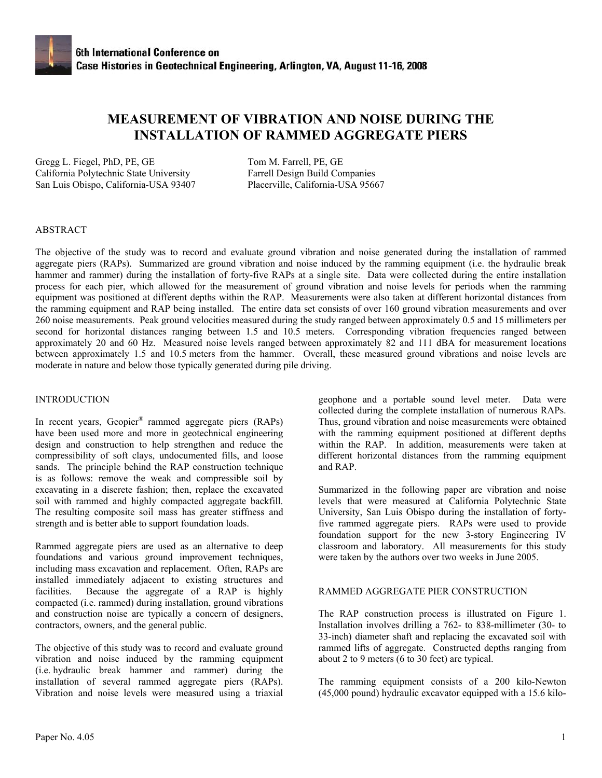# **MEASUREMENT OF VIBRATION AND NOISE DURING THE INSTALLATION OF RAMMED AGGREGATE PIERS**

Gregg L. Fiegel, PhD, PE, GE Tom M. Farrell, PE, GE California Polytechnic State University Farrell Design Build Companies San Luis Obispo, California-USA 93407 Placerville, California-USA 95667

## ABSTRACT

The objective of the study was to record and evaluate ground vibration and noise generated during the installation of rammed aggregate piers (RAPs). Summarized are ground vibration and noise induced by the ramming equipment (i.e. the hydraulic break hammer and rammer) during the installation of forty-five RAPs at a single site. Data were collected during the entire installation process for each pier, which allowed for the measurement of ground vibration and noise levels for periods when the ramming equipment was positioned at different depths within the RAP. Measurements were also taken at different horizontal distances from the ramming equipment and RAP being installed. The entire data set consists of over 160 ground vibration measurements and over 260 noise measurements. Peak ground velocities measured during the study ranged between approximately 0.5 and 15 millimeters per second for horizontal distances ranging between 1.5 and 10.5 meters. Corresponding vibration frequencies ranged between approximately 20 and 60 Hz. Measured noise levels ranged between approximately 82 and 111 dBA for measurement locations between approximately 1.5 and 10.5 meters from the hammer. Overall, these measured ground vibrations and noise levels are moderate in nature and below those typically generated during pile driving.

#### INTRODUCTION

In recent years, Geopier® rammed aggregate piers (RAPs) have been used more and more in geotechnical engineering design and construction to help strengthen and reduce the compressibility of soft clays, undocumented fills, and loose sands. The principle behind the RAP construction technique is as follows: remove the weak and compressible soil by excavating in a discrete fashion; then, replace the excavated soil with rammed and highly compacted aggregate backfill. The resulting composite soil mass has greater stiffness and strength and is better able to support foundation loads.

Rammed aggregate piers are used as an alternative to deep foundations and various ground improvement techniques, including mass excavation and replacement. Often, RAPs are installed immediately adjacent to existing structures and facilities. Because the aggregate of a RAP is highly compacted (i.e. rammed) during installation, ground vibrations and construction noise are typically a concern of designers, contractors, owners, and the general public.

The objective of this study was to record and evaluate ground vibration and noise induced by the ramming equipment (i.e. hydraulic break hammer and rammer) during the installation of several rammed aggregate piers (RAPs). Vibration and noise levels were measured using a triaxial

geophone and a portable sound level meter. Data were collected during the complete installation of numerous RAPs. Thus, ground vibration and noise measurements were obtained with the ramming equipment positioned at different depths within the RAP. In addition, measurements were taken at different horizontal distances from the ramming equipment and RAP.

Summarized in the following paper are vibration and noise levels that were measured at California Polytechnic State University, San Luis Obispo during the installation of fortyfive rammed aggregate piers. RAPs were used to provide foundation support for the new 3-story Engineering IV classroom and laboratory. All measurements for this study were taken by the authors over two weeks in June 2005.

## RAMMED AGGREGATE PIER CONSTRUCTION

The RAP construction process is illustrated on Figure 1. Installation involves drilling a 762- to 838-millimeter (30- to 33-inch) diameter shaft and replacing the excavated soil with rammed lifts of aggregate. Constructed depths ranging from about 2 to 9 meters (6 to 30 feet) are typical.

The ramming equipment consists of a 200 kilo-Newton (45,000 pound) hydraulic excavator equipped with a 15.6 kilo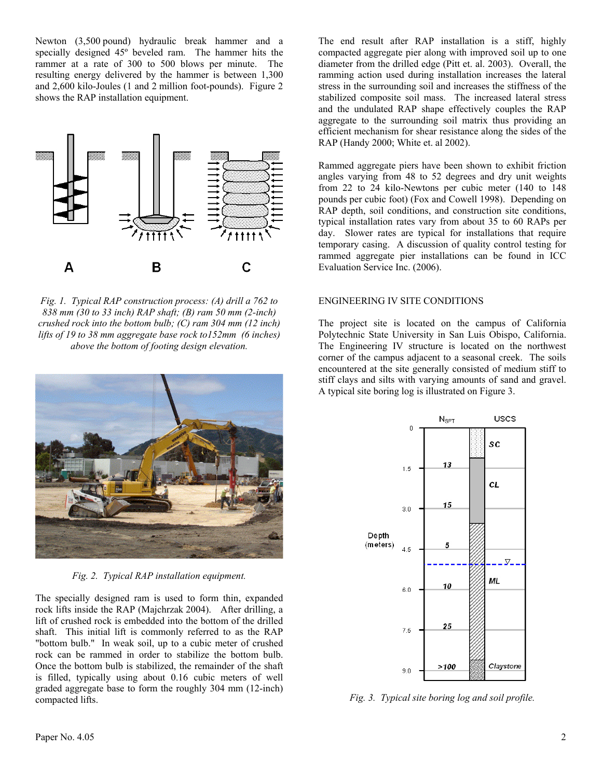Newton (3,500 pound) hydraulic break hammer and a specially designed 45º beveled ram. The hammer hits the rammer at a rate of 300 to 500 blows per minute. The resulting energy delivered by the hammer is between 1,300 and 2,600 kilo-Joules (1 and 2 million foot-pounds). Figure 2 shows the RAP installation equipment.



*Fig. 1. Typical RAP construction process: (A) drill a 762 to 838 mm (30 to 33 inch) RAP shaft; (B) ram 50 mm (2-inch) crushed rock into the bottom bulb; (C) ram 304 mm (12 inch) lifts of 19 to 38 mm aggregate base rock to152mm (6 inches) above the bottom of footing design elevation.* 



*Fig. 2. Typical RAP installation equipment.*

The specially designed ram is used to form thin, expanded rock lifts inside the RAP (Majchrzak 2004). After drilling, a lift of crushed rock is embedded into the bottom of the drilled shaft. This initial lift is commonly referred to as the RAP "bottom bulb." In weak soil, up to a cubic meter of crushed rock can be rammed in order to stabilize the bottom bulb. Once the bottom bulb is stabilized, the remainder of the shaft is filled, typically using about 0.16 cubic meters of well graded aggregate base to form the roughly 304 mm (12-inch) compacted lifts.

The end result after RAP installation is a stiff, highly compacted aggregate pier along with improved soil up to one diameter from the drilled edge (Pitt et. al. 2003). Overall, the ramming action used during installation increases the lateral stress in the surrounding soil and increases the stiffness of the stabilized composite soil mass. The increased lateral stress and the undulated RAP shape effectively couples the RAP aggregate to the surrounding soil matrix thus providing an efficient mechanism for shear resistance along the sides of the RAP (Handy 2000; White et. al 2002).

Rammed aggregate piers have been shown to exhibit friction angles varying from 48 to 52 degrees and dry unit weights from 22 to 24 kilo-Newtons per cubic meter (140 to 148 pounds per cubic foot) (Fox and Cowell 1998). Depending on RAP depth, soil conditions, and construction site conditions, typical installation rates vary from about 35 to 60 RAPs per day. Slower rates are typical for installations that require temporary casing. A discussion of quality control testing for rammed aggregate pier installations can be found in ICC Evaluation Service Inc. (2006).

#### ENGINEERING IV SITE CONDITIONS

The project site is located on the campus of California Polytechnic State University in San Luis Obispo, California. The Engineering IV structure is located on the northwest corner of the campus adjacent to a seasonal creek. The soils encountered at the site generally consisted of medium stiff to stiff clays and silts with varying amounts of sand and gravel. A typical site boring log is illustrated on Figure 3.



*Fig. 3. Typical site boring log and soil profile.*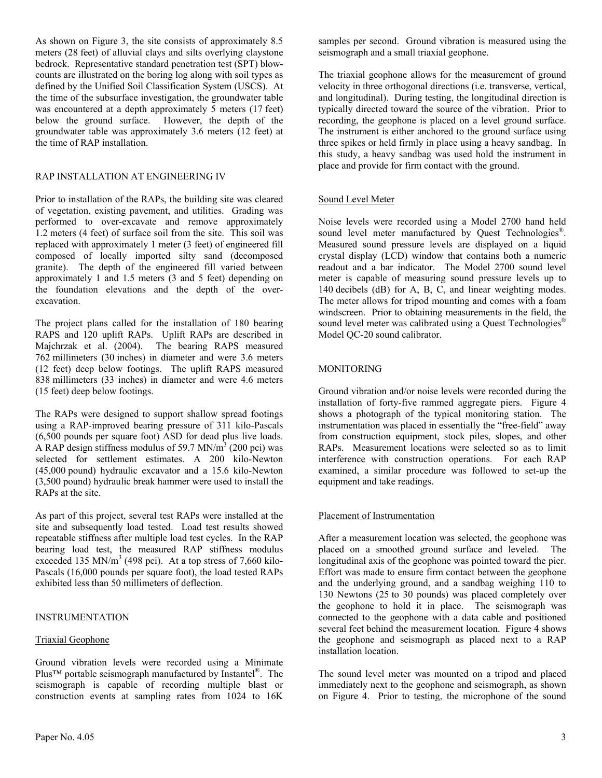As shown on Figure 3, the site consists of approximately 8.5 meters (28 feet) of alluvial clays and silts overlying claystone bedrock. Representative standard penetration test (SPT) blowcounts are illustrated on the boring log along with soil types as defined by the Unified Soil Classification System (USCS). At the time of the subsurface investigation, the groundwater table was encountered at a depth approximately 5 meters (17 feet) below the ground surface. However, the depth of the groundwater table was approximately 3.6 meters (12 feet) at the time of RAP installation.

## RAP INSTALLATION AT ENGINEERING IV

Prior to installation of the RAPs, the building site was cleared of vegetation, existing pavement, and utilities. Grading was performed to over-excavate and remove approximately 1.2 meters (4 feet) of surface soil from the site. This soil was replaced with approximately 1 meter (3 feet) of engineered fill composed of locally imported silty sand (decomposed granite). The depth of the engineered fill varied between approximately 1 and 1.5 meters (3 and 5 feet) depending on the foundation elevations and the depth of the overexcavation.

The project plans called for the installation of 180 bearing RAPS and 120 uplift RAPs. Uplift RAPs are described in Majchrzak et al. (2004). The bearing RAPS measured 762 millimeters (30 inches) in diameter and were 3.6 meters (12 feet) deep below footings. The uplift RAPS measured 838 millimeters (33 inches) in diameter and were 4.6 meters (15 feet) deep below footings.

The RAPs were designed to support shallow spread footings using a RAP-improved bearing pressure of 311 kilo-Pascals (6,500 pounds per square foot) ASD for dead plus live loads. A RAP design stiffness modulus of 59.7 MN/ $m<sup>3</sup>$  (200 pci) was selected for settlement estimates. A 200 kilo-Newton (45,000 pound) hydraulic excavator and a 15.6 kilo-Newton (3,500 pound) hydraulic break hammer were used to install the RAPs at the site.

As part of this project, several test RAPs were installed at the site and subsequently load tested. Load test results showed repeatable stiffness after multiple load test cycles. In the RAP bearing load test, the measured RAP stiffness modulus exceeded 135 MN/m<sup>3</sup> (498 pci). At a top stress of 7,660 kilo-Pascals (16,000 pounds per square foot), the load tested RAPs exhibited less than 50 millimeters of deflection.

## INSTRUMENTATION

## Triaxial Geophone

Ground vibration levels were recorded using a Minimate Plus™ portable seismograph manufactured by Instantel<sup>®</sup>. The seismograph is capable of recording multiple blast or construction events at sampling rates from 1024 to 16K

samples per second. Ground vibration is measured using the seismograph and a small triaxial geophone.

The triaxial geophone allows for the measurement of ground velocity in three orthogonal directions (i.e. transverse, vertical, and longitudinal). During testing, the longitudinal direction is typically directed toward the source of the vibration. Prior to recording, the geophone is placed on a level ground surface. The instrument is either anchored to the ground surface using three spikes or held firmly in place using a heavy sandbag. In this study, a heavy sandbag was used hold the instrument in place and provide for firm contact with the ground.

# Sound Level Meter

Noise levels were recorded using a Model 2700 hand held sound level meter manufactured by Quest Technologies<sup>®</sup>. Measured sound pressure levels are displayed on a liquid crystal display (LCD) window that contains both a numeric readout and a bar indicator. The Model 2700 sound level meter is capable of measuring sound pressure levels up to 140 decibels (dB) for A, B, C, and linear weighting modes. The meter allows for tripod mounting and comes with a foam windscreen. Prior to obtaining measurements in the field, the sound level meter was calibrated using a Quest Technologies<sup>®</sup> Model QC-20 sound calibrator.

## MONITORING

Ground vibration and/or noise levels were recorded during the installation of forty-five rammed aggregate piers. Figure 4 shows a photograph of the typical monitoring station. The instrumentation was placed in essentially the "free-field" away from construction equipment, stock piles, slopes, and other RAPs. Measurement locations were selected so as to limit interference with construction operations. For each RAP examined, a similar procedure was followed to set-up the equipment and take readings.

## Placement of Instrumentation

After a measurement location was selected, the geophone was placed on a smoothed ground surface and leveled. The longitudinal axis of the geophone was pointed toward the pier. Effort was made to ensure firm contact between the geophone and the underlying ground, and a sandbag weighing 110 to 130 Newtons (25 to 30 pounds) was placed completely over the geophone to hold it in place. The seismograph was connected to the geophone with a data cable and positioned several feet behind the measurement location. Figure 4 shows the geophone and seismograph as placed next to a RAP installation location.

The sound level meter was mounted on a tripod and placed immediately next to the geophone and seismograph, as shown on Figure 4. Prior to testing, the microphone of the sound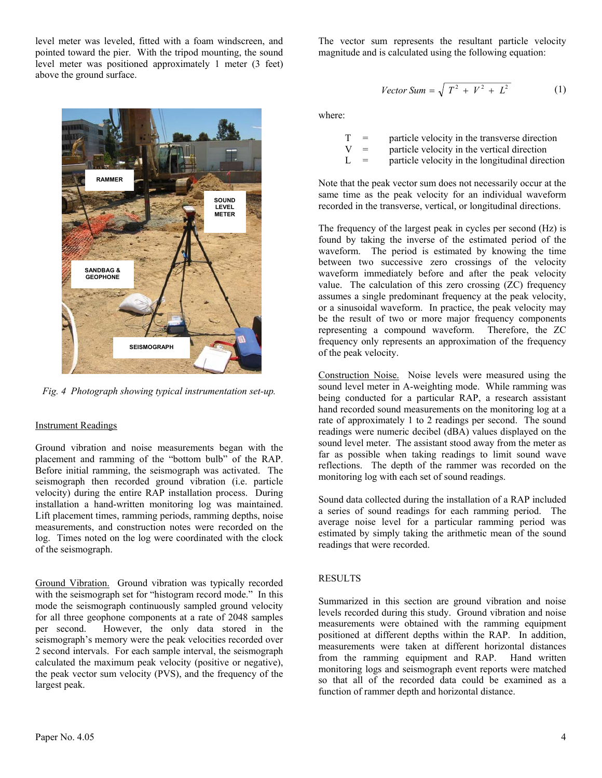level meter was leveled, fitted with a foam windscreen, and pointed toward the pier. With the tripod mounting, the sound level meter was positioned approximately 1 meter (3 feet) above the ground surface.



*Fig. 4 Photograph showing typical instrumentation set-up.* 

## Instrument Readings

Ground vibration and noise measurements began with the placement and ramming of the "bottom bulb" of the RAP. Before initial ramming, the seismograph was activated. The seismograph then recorded ground vibration (i.e. particle velocity) during the entire RAP installation process. During installation a hand-written monitoring log was maintained. Lift placement times, ramming periods, ramming depths, noise measurements, and construction notes were recorded on the log. Times noted on the log were coordinated with the clock of the seismograph.

Ground Vibration. Ground vibration was typically recorded with the seismograph set for "histogram record mode." In this mode the seismograph continuously sampled ground velocity for all three geophone components at a rate of 2048 samples per second. However, the only data stored in the seismograph's memory were the peak velocities recorded over 2 second intervals. For each sample interval, the seismograph calculated the maximum peak velocity (positive or negative), the peak vector sum velocity (PVS), and the frequency of the largest peak.

The vector sum represents the resultant particle velocity magnitude and is calculated using the following equation:

$$
Vector Sum = \sqrt{T^2 + V^2 + L^2}
$$
 (1)

where:

|  | particle velocity in the transverse direction |  |  |
|--|-----------------------------------------------|--|--|
|--|-----------------------------------------------|--|--|

- $V =$  particle velocity in the vertical direction
- $L =$  particle velocity in the longitudinal direction

Note that the peak vector sum does not necessarily occur at the same time as the peak velocity for an individual waveform recorded in the transverse, vertical, or longitudinal directions.

The frequency of the largest peak in cycles per second (Hz) is found by taking the inverse of the estimated period of the waveform. The period is estimated by knowing the time between two successive zero crossings of the velocity waveform immediately before and after the peak velocity value. The calculation of this zero crossing (ZC) frequency assumes a single predominant frequency at the peak velocity, or a sinusoidal waveform. In practice, the peak velocity may be the result of two or more major frequency components representing a compound waveform. Therefore, the ZC frequency only represents an approximation of the frequency of the peak velocity.

Construction Noise.Noise levels were measured using the sound level meter in A-weighting mode. While ramming was being conducted for a particular RAP, a research assistant hand recorded sound measurements on the monitoring log at a rate of approximately 1 to 2 readings per second. The sound readings were numeric decibel (dBA) values displayed on the sound level meter. The assistant stood away from the meter as far as possible when taking readings to limit sound wave reflections. The depth of the rammer was recorded on the monitoring log with each set of sound readings.

Sound data collected during the installation of a RAP included a series of sound readings for each ramming period. The average noise level for a particular ramming period was estimated by simply taking the arithmetic mean of the sound readings that were recorded.

## **RESULTS**

Summarized in this section are ground vibration and noise levels recorded during this study. Ground vibration and noise measurements were obtained with the ramming equipment positioned at different depths within the RAP. In addition, measurements were taken at different horizontal distances from the ramming equipment and RAP. Hand written monitoring logs and seismograph event reports were matched so that all of the recorded data could be examined as a function of rammer depth and horizontal distance.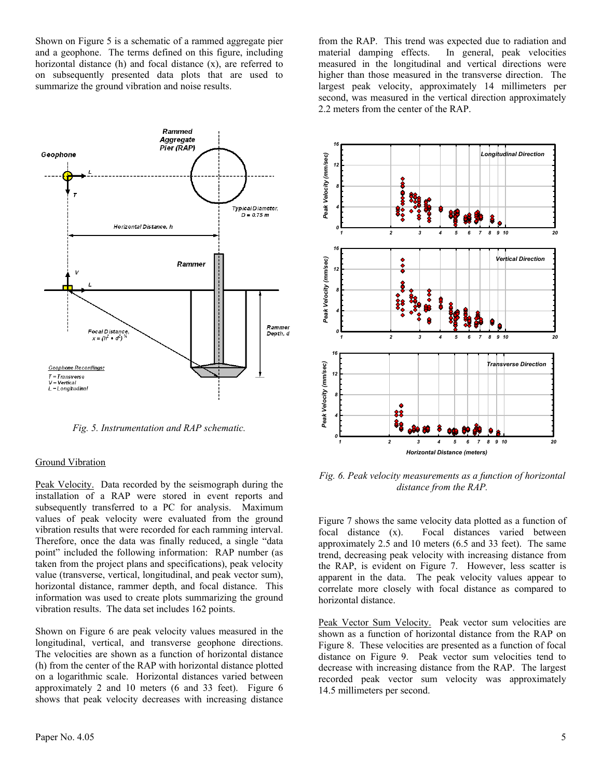Shown on Figure 5 is a schematic of a rammed aggregate pier and a geophone. The terms defined on this figure, including horizontal distance (h) and focal distance (x), are referred to on subsequently presented data plots that are used to summarize the ground vibration and noise results.



*Fig. 5. Instrumentation and RAP schematic.*

#### Ground Vibration

Peak Velocity. Data recorded by the seismograph during the installation of a RAP were stored in event reports and subsequently transferred to a PC for analysis. Maximum values of peak velocity were evaluated from the ground vibration results that were recorded for each ramming interval. Therefore, once the data was finally reduced, a single "data point" included the following information: RAP number (as taken from the project plans and specifications), peak velocity value (transverse, vertical, longitudinal, and peak vector sum), horizontal distance, rammer depth, and focal distance. This information was used to create plots summarizing the ground vibration results. The data set includes 162 points.

Shown on Figure 6 are peak velocity values measured in the longitudinal, vertical, and transverse geophone directions. The velocities are shown as a function of horizontal distance (h) from the center of the RAP with horizontal distance plotted on a logarithmic scale. Horizontal distances varied between approximately 2 and 10 meters (6 and 33 feet). Figure 6 shows that peak velocity decreases with increasing distance

from the RAP. This trend was expected due to radiation and material damping effects. In general, peak velocities measured in the longitudinal and vertical directions were higher than those measured in the transverse direction. The largest peak velocity, approximately 14 millimeters per second, was measured in the vertical direction approximately 2.2 meters from the center of the RAP.



*Fig. 6. Peak velocity measurements as a function of horizontal distance from the RAP.* 

Figure 7 shows the same velocity data plotted as a function of focal distance (x). Focal distances varied between approximately 2.5 and 10 meters (6.5 and 33 feet). The same trend, decreasing peak velocity with increasing distance from the RAP, is evident on Figure 7. However, less scatter is apparent in the data. The peak velocity values appear to correlate more closely with focal distance as compared to horizontal distance.

Peak Vector Sum Velocity. Peak vector sum velocities are shown as a function of horizontal distance from the RAP on Figure 8. These velocities are presented as a function of focal distance on Figure 9. Peak vector sum velocities tend to decrease with increasing distance from the RAP. The largest recorded peak vector sum velocity was approximately 14.5 millimeters per second.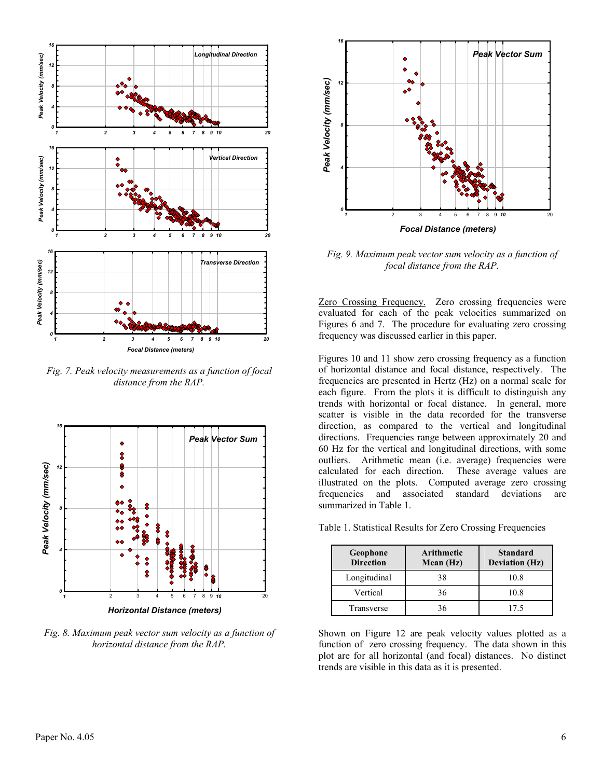

*Fig. 7. Peak velocity measurements as a function of focal distance from the RAP.* 



*Fig. 8. Maximum peak vector sum velocity as a function of horizontal distance from the RAP.* 



*Fig. 9. Maximum peak vector sum velocity as a function of focal distance from the RAP.* 

Zero Crossing Frequency. Zero crossing frequencies were evaluated for each of the peak velocities summarized on Figures 6 and 7. The procedure for evaluating zero crossing frequency was discussed earlier in this paper.

Figures 10 and 11 show zero crossing frequency as a function of horizontal distance and focal distance, respectively. The frequencies are presented in Hertz (Hz) on a normal scale for each figure. From the plots it is difficult to distinguish any trends with horizontal or focal distance. In general, more scatter is visible in the data recorded for the transverse direction, as compared to the vertical and longitudinal directions. Frequencies range between approximately 20 and 60 Hz for the vertical and longitudinal directions, with some outliers. Arithmetic mean (i.e. average) frequencies were calculated for each direction. These average values are illustrated on the plots. Computed average zero crossing frequencies and associated standard deviations are summarized in Table 1.

Table 1. Statistical Results for Zero Crossing Frequencies

| Geophone<br><b>Direction</b> | Arithmetic<br>Mean (Hz) | <b>Standard</b><br><b>Deviation (Hz)</b> |
|------------------------------|-------------------------|------------------------------------------|
| Longitudinal                 | 38                      | 10.8                                     |
| Vertical                     | 36                      | 10.8                                     |
| Transverse                   | 36                      | 175                                      |

Shown on Figure 12 are peak velocity values plotted as a function of zero crossing frequency. The data shown in this plot are for all horizontal (and focal) distances. No distinct trends are visible in this data as it is presented.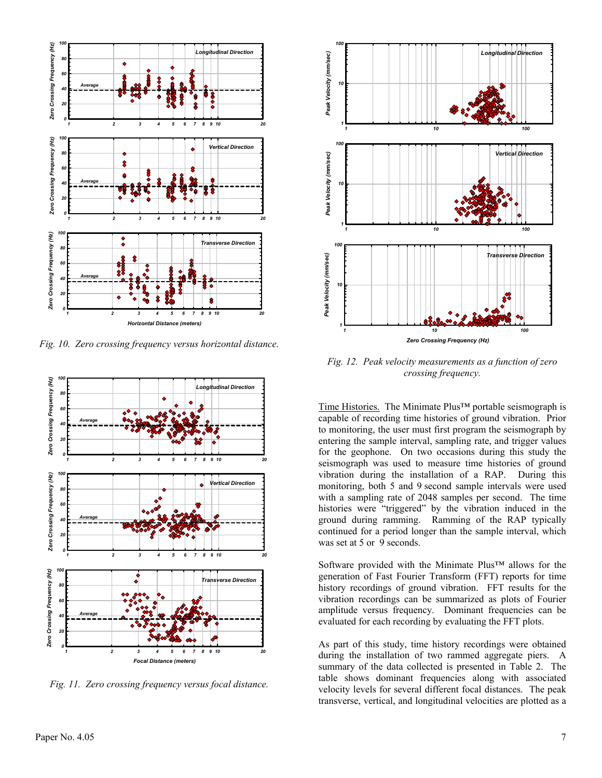

*Fig. 10. Zero crossing frequency versus horizontal distance.* 



*Fig. 11. Zero crossing frequency versus focal distance.* 



*Fig. 12. Peak velocity measurements as a function of zero crossing frequency.* 

Time Histories.The Minimate Plus™ portable seismograph is capable of recording time histories of ground vibration. Prior to monitoring, the user must first program the seismograph by entering the sample interval, sampling rate, and trigger values for the geophone. On two occasions during this study the seismograph was used to measure time histories of ground vibration during the installation of a RAP. During this monitoring, both 5 and 9 second sample intervals were used with a sampling rate of 2048 samples per second. The time histories were "triggered" by the vibration induced in the ground during ramming. Ramming of the RAP typically continued for a period longer than the sample interval, which was set at 5 or 9 seconds.

Software provided with the Minimate Plus™ allows for the generation of Fast Fourier Transform (FFT) reports for time history recordings of ground vibration. FFT results for the vibration recordings can be summarized as plots of Fourier amplitude versus frequency. Dominant frequencies can be evaluated for each recording by evaluating the FFT plots.

As part of this study, time history recordings were obtained during the installation of two rammed aggregate piers. A summary of the data collected is presented in Table 2. The table shows dominant frequencies along with associated velocity levels for several different focal distances. The peak transverse, vertical, and longitudinal velocities are plotted as a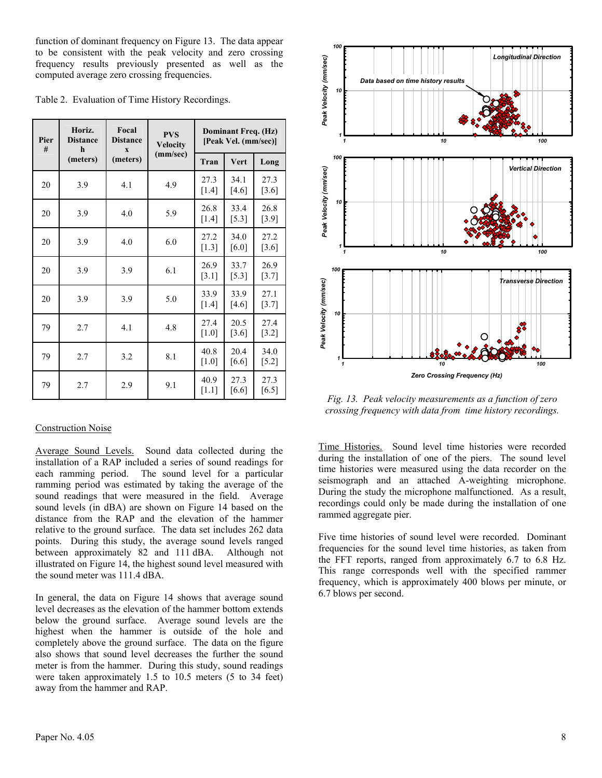function of dominant frequency on Figure 13. The data appear to be consistent with the peak velocity and zero crossing frequency results previously presented as well as the computed average zero crossing frequencies.

|  |  | Table 2. Evaluation of Time History Recordings. |
|--|--|-------------------------------------------------|
|  |  |                                                 |

| Pier<br># | Horiz.<br><b>Distance</b><br>h<br>(meters) | Focal<br><b>Distance</b><br>$\overline{\mathbf{X}}$<br>(meters) | <b>PVS</b><br><b>Velocity</b><br>(mm/sec) | Dominant Freq. (Hz)<br>[Peak Vel. (mm/sec)] |                 |                 |
|-----------|--------------------------------------------|-----------------------------------------------------------------|-------------------------------------------|---------------------------------------------|-----------------|-----------------|
|           |                                            |                                                                 |                                           | Tran                                        | Vert            | Long            |
| 20        | 3.9                                        | 4.1                                                             | 4.9                                       | 27.3<br>$[1.4]$                             | 34.1<br>[4.6]   | 27.3<br>$[3.6]$ |
| 20        | 3.9                                        | 4.0                                                             | 5.9                                       | 26.8<br>$[1.4]$                             | 33.4<br>$[5.3]$ | 26.8<br>$[3.9]$ |
| 20        | 3.9                                        | 4.0                                                             | 6.0                                       | 27.2<br>$[1.3]$                             | 34.0<br>[6.0]   | 27.2<br>[3.6]   |
| 20        | 3.9                                        | 3.9                                                             | 6.1                                       | 26.9<br>[3.1]                               | 33.7<br>[5.3]   | 26.9<br>[3.7]   |
| 20        | 3.9                                        | 3.9                                                             | 5.0                                       | 33.9<br>$[1.4]$                             | 33.9<br>[4.6]   | 27.1<br>$[3.7]$ |
| 79        | 2.7                                        | 4.1                                                             | 4.8                                       | 27.4<br>[1.0]                               | 20.5<br>[3.6]   | 27.4<br>$[3.2]$ |
| 79        | 2.7                                        | 3.2                                                             | 8.1                                       | 40.8<br>[1.0]                               | 20.4<br>[6.6]   | 34.0<br>$[5.2]$ |
| 79        | 2.7                                        | 2.9                                                             | 9.1                                       | 40.9<br>$[1.1]$                             | 27.3<br>[6.6]   | 27.3<br>[6.5]   |

## Construction Noise

Average Sound Levels. Sound data collected during the installation of a RAP included a series of sound readings for each ramming period. The sound level for a particular ramming period was estimated by taking the average of the sound readings that were measured in the field. Average sound levels (in dBA) are shown on Figure 14 based on the distance from the RAP and the elevation of the hammer relative to the ground surface. The data set includes 262 data points. During this study, the average sound levels ranged between approximately 82 and 111 dBA. Although not illustrated on Figure 14, the highest sound level measured with the sound meter was 111.4 dBA.

In general, the data on Figure 14 shows that average sound level decreases as the elevation of the hammer bottom extends below the ground surface. Average sound levels are the highest when the hammer is outside of the hole and completely above the ground surface. The data on the figure also shows that sound level decreases the further the sound meter is from the hammer. During this study, sound readings were taken approximately 1.5 to 10.5 meters (5 to 34 feet) away from the hammer and RAP.



*Fig. 13. Peak velocity measurements as a function of zero crossing frequency with data from time history recordings.* 

Time Histories. Sound level time histories were recorded during the installation of one of the piers. The sound level time histories were measured using the data recorder on the seismograph and an attached A-weighting microphone. During the study the microphone malfunctioned. As a result, recordings could only be made during the installation of one rammed aggregate pier.

Five time histories of sound level were recorded. Dominant frequencies for the sound level time histories, as taken from the FFT reports, ranged from approximately 6.7 to 6.8 Hz. This range corresponds well with the specified rammer frequency, which is approximately 400 blows per minute, or 6.7 blows per second.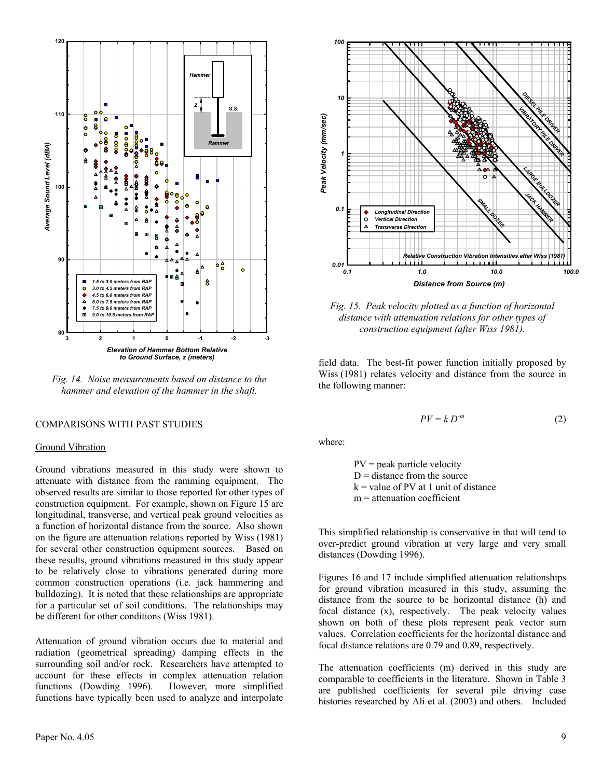

*Fig. 14. Noise measurements based on distance to the hammer and elevation of the hammer in the shaft.* 

#### COMPARISONS WITH PAST STUDIES

#### Ground Vibration

Ground vibrations measured in this study were shown to attenuate with distance from the ramming equipment. The observed results are similar to those reported for other types of construction equipment. For example, shown on Figure 15 are longitudinal, transverse, and vertical peak ground velocities as a function of horizontal distance from the source. Also shown on the figure are attenuation relations reported by Wiss (1981) for several other construction equipment sources. Based on these results, ground vibrations measured in this study appear to be relatively close to vibrations generated during more common construction operations (i.e. jack hammering and bulldozing). It is noted that these relationships are appropriate for a particular set of soil conditions. The relationships may be different for other conditions (Wiss 1981).

Attenuation of ground vibration occurs due to material and radiation (geometrical spreading) damping effects in the surrounding soil and/or rock. Researchers have attempted to account for these effects in complex attenuation relation functions (Dowding 1996). However, more simplified functions have typically been used to analyze and interpolate



*Fig. 15. Peak velocity plotted as a function of horizontal distance with attenuation relations for other types of construction equipment (after Wiss 1981).* 

field data. The best-fit power function initially proposed by Wiss (1981) relates velocity and distance from the source in the following manner:

$$
PV = k D^{-m} \tag{2}
$$

where:

*100*

 PV = peak particle velocity  $D =$  distance from the source  $k =$  value of PV at 1 unit of distance  $m =$  attenuation coefficient

This simplified relationship is conservative in that will tend to over-predict ground vibration at very large and very small distances (Dowding 1996).

Figures 16 and 17 include simplified attenuation relationships for ground vibration measured in this study, assuming the distance from the source to be horizontal distance (h) and focal distance (x), respectively. The peak velocity values shown on both of these plots represent peak vector sum values. Correlation coefficients for the horizontal distance and focal distance relations are 0.79 and 0.89, respectively.

The attenuation coefficients (m) derived in this study are comparable to coefficients in the literature. Shown in Table 3 are published coefficients for several pile driving case histories researched by Ali et al. (2003) and others. Included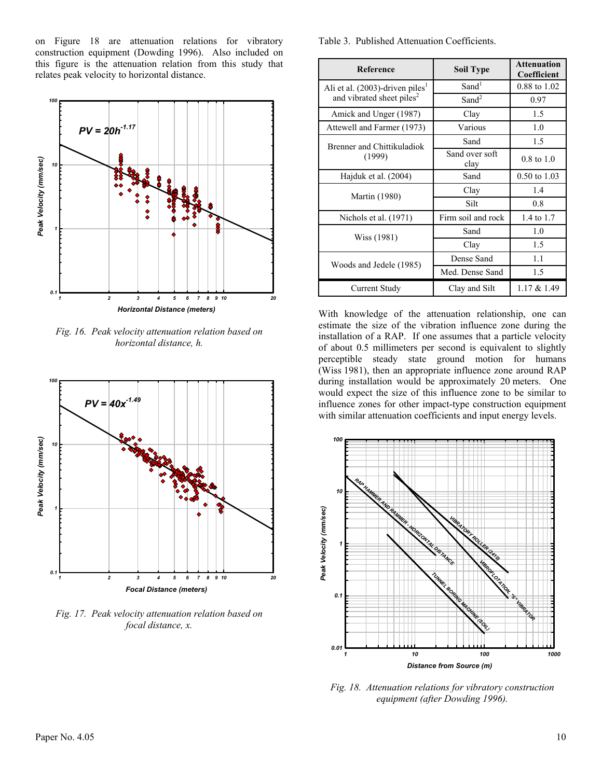on Figure 18 are attenuation relations for vibratory construction equipment (Dowding 1996). Also included on this figure is the attenuation relation from this study that relates peak velocity to horizontal distance.



*Fig. 16. Peak velocity attenuation relation based on horizontal distance, h.* 



*Fig. 17. Peak velocity attenuation relation based on focal distance, x.* 

Table 3. Published Attenuation Coefficients.

| <b>Reference</b>                               | <b>Soil Type</b>       | <b>Attenuation</b><br>Coefficient |
|------------------------------------------------|------------------------|-----------------------------------|
| Ali et al. $(2003)$ -driven piles <sup>1</sup> | Sand <sup>1</sup>      | 0.88 to 1.02                      |
| and vibrated sheet piles <sup>2</sup>          | Sand <sup>2</sup>      | 0.97                              |
| Amick and Unger (1987)                         | Clay                   | 1.5                               |
| Attewell and Farmer (1973)                     | Various                | 1.0                               |
| <b>Brenner and Chittikuladiok</b>              | Sand                   | 1.5                               |
| (1999)                                         | Sand over soft<br>clay | $0.8 \text{ to } 1.0$             |
| Hajduk et al. (2004)                           | Sand                   | $0.50 \text{ to } 1.03$           |
| <b>Martin</b> (1980)                           | Clay                   | 1.4                               |
|                                                | Silt                   | 0.8                               |
| Nichols et al. (1971)                          | Firm soil and rock     | 1.4 to 1.7                        |
| Wiss (1981)                                    | Sand                   | 1.0                               |
|                                                | Clay                   | 1.5                               |
| Woods and Jedele (1985)                        | Dense Sand             | 1.1                               |
|                                                | Med. Dense Sand        | 1.5                               |
| Current Study                                  | Clay and Silt          | $1.17 \& 1.49$                    |

With knowledge of the attenuation relationship, one can estimate the size of the vibration influence zone during the installation of a RAP. If one assumes that a particle velocity of about 0.5 millimeters per second is equivalent to slightly perceptible steady state ground motion for humans (Wiss 1981), then an appropriate influence zone around RAP during installation would be approximately 20 meters. One would expect the size of this influence zone to be similar to influence zones for other impact-type construction equipment with similar attenuation coefficients and input energy levels.



*Fig. 18. Attenuation relations for vibratory construction equipment (after Dowding 1996).*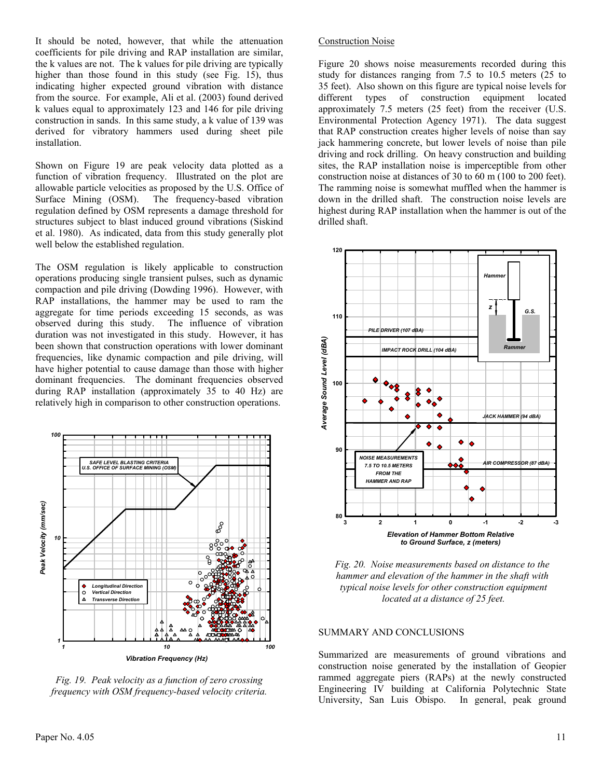It should be noted, however, that while the attenuation coefficients for pile driving and RAP installation are similar, the k values are not. The k values for pile driving are typically higher than those found in this study (see Fig. 15), thus indicating higher expected ground vibration with distance from the source. For example, Ali et al. (2003) found derived k values equal to approximately 123 and 146 for pile driving construction in sands. In this same study, a k value of 139 was derived for vibratory hammers used during sheet pile installation.

Shown on Figure 19 are peak velocity data plotted as a function of vibration frequency. Illustrated on the plot are allowable particle velocities as proposed by the U.S. Office of Surface Mining (OSM). The frequency-based vibration regulation defined by OSM represents a damage threshold for structures subject to blast induced ground vibrations (Siskind et al. 1980). As indicated, data from this study generally plot well below the established regulation.

The OSM regulation is likely applicable to construction operations producing single transient pulses, such as dynamic compaction and pile driving (Dowding 1996). However, with RAP installations, the hammer may be used to ram the aggregate for time periods exceeding 15 seconds, as was observed during this study. The influence of vibration duration was not investigated in this study. However, it has been shown that construction operations with lower dominant frequencies, like dynamic compaction and pile driving, will have higher potential to cause damage than those with higher dominant frequencies. The dominant frequencies observed during RAP installation (approximately 35 to 40 Hz) are relatively high in comparison to other construction operations.



*Fig. 19. Peak velocity as a function of zero crossing frequency with OSM frequency-based velocity criteria.* 

#### Construction Noise

Figure 20 shows noise measurements recorded during this study for distances ranging from 7.5 to 10.5 meters (25 to 35 feet). Also shown on this figure are typical noise levels for different types of construction equipment located approximately 7.5 meters (25 feet) from the receiver (U.S. Environmental Protection Agency 1971). The data suggest that RAP construction creates higher levels of noise than say jack hammering concrete, but lower levels of noise than pile driving and rock drilling. On heavy construction and building sites, the RAP installation noise is imperceptible from other construction noise at distances of 30 to 60 m (100 to 200 feet). The ramming noise is somewhat muffled when the hammer is down in the drilled shaft. The construction noise levels are highest during RAP installation when the hammer is out of the drilled shaft.



*Fig. 20. Noise measurements based on distance to the hammer and elevation of the hammer in the shaft with typical noise levels for other construction equipment located at a distance of 25 feet.* 

#### SUMMARY AND CONCLUSIONS

Summarized are measurements of ground vibrations and construction noise generated by the installation of Geopier rammed aggregate piers (RAPs) at the newly constructed Engineering IV building at California Polytechnic State University, San Luis Obispo. In general, peak ground